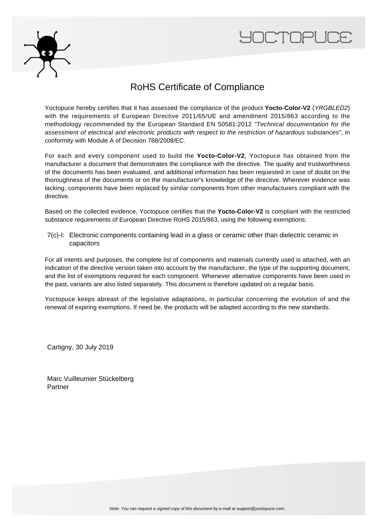



## RoHS Certificate of Compliance

Yoctopuce hereby certifies that it has assessed the compliance of the product **Yocto-Color-V2** (YRGBLED2) with the requirements of European Directive 2011/65/UE and amendment 2015/863 according to the methodology recommended by the European Standard EN 50581:2012 "Technical documentation for the assessment of electrical and electronic products with respect to the restriction of hazardous substances", in conformity with Module A of Decision 768/2008/EC.

For each and every component used to build the **Yocto-Color-V2**, Yoctopuce has obtained from the manufacturer a document that demonstrates the compliance with the directive. The quality and trustworthiness of the documents has been evaluated, and additional information has been requested in case of doubt on the thoroughness of the documents or on the manufacturer's knowledge of the directive. Wherever evidence was lacking, components have been replaced by similar components from other manufacturers compliant with the directive.

Based on the collected evidence, Yoctopuce certifies that the **Yocto-Color-V2** is compliant with the restricted substance requirements of European Directive RoHS 2015/863, using the following exemptions:

7(c)-I: Electronic components containing lead in a glass or ceramic other than dielectric ceramic in capacitors

For all intents and purposes, the complete list of components and materials currently used is attached, with an indication of the directive version taken into account by the manufacturer, the type of the supporting document, and the list of exemptions required for each component. Whenever alternative components have been used in the past, variants are also listed separately. This document is therefore updated on a regular basis.

Yoctopuce keeps abreast of the legislative adaptations, in particular concerning the evolution of and the renewal of expiring exemptions. If need be, the products will be adapted according to the new standards.

Cartigny, 30 July 2019

Marc Vuilleumier Stückelberg Partner